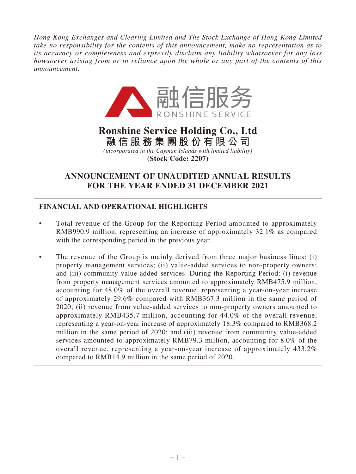*Hong Kong Exchanges and Clearing Limited and The Stock Exchange of Hong Kong Limited take no responsibility for the contents of this announcement, make no representation as to its accuracy or completeness and expressly disclaim any liability whatsoever for any loss howsoever arising from or in reliance upon the whole or any part of the contents of this announcement.*



# **Ronshine Service Holding Co., Ltd**

**融信服務集團股份有限公司** *(incorporated in the Cayman Islands with limited liability)*

**(Stock Code: 2207)**

# **ANNOUNCEMENT OF UNAUDITED ANNUAL RESULTS FOR THE YEAR ENDED 31 DECEMBER 2021**

# **FINANCIAL AND OPERATIONAL HIGHLIGHTS**

- Total revenue of the Group for the Reporting Period amounted to approximately RMB990.9 million, representing an increase of approximately 32.1% as compared with the corresponding period in the previous year.
- The revenue of the Group is mainly derived from three major business lines: (i) property management services; (ii) value-added services to non-property owners; and (iii) community value-added services. During the Reporting Period: (i) revenue from property management services amounted to approximately RMB475.9 million, accounting for 48.0% of the overall revenue, representing a year-on-year increase of approximately 29.6% compared with RMB367.3 million in the same period of 2020; (ii) revenue from value-added services to non-property owners amounted to approximately RMB435.7 million, accounting for 44.0% of the overall revenue, representing a year-on-year increase of approximately 18.3% compared to RMB368.2 million in the same period of 2020; and (iii) revenue from community value-added services amounted to approximately RMB79.3 million, accounting for 8.0% of the overall revenue, representing a year-on-year increase of approximately 433.2% compared to RMB14.9 million in the same period of 2020.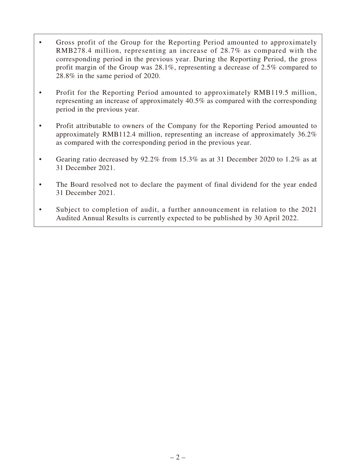- Gross profit of the Group for the Reporting Period amounted to approximately RMB278.4 million, representing an increase of 28.7% as compared with the corresponding period in the previous year. During the Reporting Period, the gross profit margin of the Group was 28.1%, representing a decrease of 2.5% compared to 28.8% in the same period of 2020.
- Profit for the Reporting Period amounted to approximately RMB119.5 million, representing an increase of approximately 40.5% as compared with the corresponding period in the previous year.
- Profit attributable to owners of the Company for the Reporting Period amounted to approximately RMB112.4 million, representing an increase of approximately 36.2% as compared with the corresponding period in the previous year.
- Gearing ratio decreased by 92.2% from 15.3% as at 31 December 2020 to 1.2% as at 31 December 2021.
- The Board resolved not to declare the payment of final dividend for the year ended 31 December 2021.
- Subject to completion of audit, a further announcement in relation to the 2021 Audited Annual Results is currently expected to be published by 30 April 2022.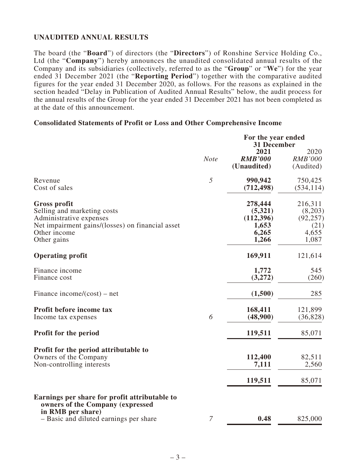# **UNAUDITED ANNUAL RESULTS**

The board (the "**Board**") of directors (the "**Directors**") of Ronshine Service Holding Co., Ltd (the "**Company**") hereby announces the unaudited consolidated annual results of the Company and its subsidiaries (collectively, referred to as the "**Group**" or "**We**") for the year ended 31 December 2021 (the "**Reporting Period**") together with the comparative audited figures for the year ended 31 December 2020, as follows. For the reasons as explained in the section headed "Delay in Publication of Audited Annual Results" below, the audit process for the annual results of the Group for the year ended 31 December 2021 has not been completed as at the date of this announcement.

#### **Consolidated Statements of Profit or Loss and Other Comprehensive Income**

|                                                                                                                                                                  |                | For the year ended<br>31 December                          |                                                           |  |
|------------------------------------------------------------------------------------------------------------------------------------------------------------------|----------------|------------------------------------------------------------|-----------------------------------------------------------|--|
|                                                                                                                                                                  | <b>Note</b>    | 2021<br><b>RMB'000</b><br>(Unaudited)                      | 2020<br><b>RMB'000</b><br>(Audited)                       |  |
| Revenue<br>Cost of sales                                                                                                                                         | 5              | 990,942<br>(712, 498)                                      | 750,425<br>(534, 114)                                     |  |
| <b>Gross profit</b><br>Selling and marketing costs<br>Administrative expenses<br>Net impairment gains/(losses) on financial asset<br>Other income<br>Other gains |                | 278,444<br>(5,321)<br>(112,396)<br>1,653<br>6,265<br>1,266 | 216,311<br>(8,203)<br>(92, 257)<br>(21)<br>4,655<br>1,087 |  |
| <b>Operating profit</b>                                                                                                                                          |                | 169,911                                                    | 121,614                                                   |  |
| Finance income<br>Finance cost                                                                                                                                   |                | 1,772<br>(3,272)                                           | 545<br>(260)                                              |  |
| Finance income/ $(cost)$ – net                                                                                                                                   |                | (1,500)                                                    | 285                                                       |  |
| Profit before income tax<br>Income tax expenses                                                                                                                  | 6              | 168,411<br>(48,900)                                        | 121,899<br>(36, 828)                                      |  |
| Profit for the period                                                                                                                                            |                | 119,511                                                    | 85,071                                                    |  |
| Profit for the period attributable to<br>Owners of the Company<br>Non-controlling interests                                                                      |                | 112,400<br>7,111                                           | 82,511<br>2,560                                           |  |
|                                                                                                                                                                  |                | 119,511                                                    | 85,071                                                    |  |
| Earnings per share for profit attributable to<br>owners of the Company (expressed<br>in RMB per share)                                                           |                |                                                            |                                                           |  |
| - Basic and diluted earnings per share                                                                                                                           | $\overline{7}$ | 0.48                                                       | 825,000                                                   |  |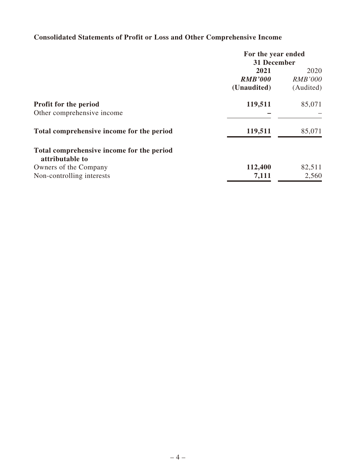# **Consolidated Statements of Profit or Loss and Other Comprehensive Income**

|                                                              | For the year ended |                |  |
|--------------------------------------------------------------|--------------------|----------------|--|
|                                                              | 31 December        |                |  |
|                                                              | 2021               | 2020           |  |
|                                                              | <b>RMB'000</b>     | <b>RMB'000</b> |  |
|                                                              | (Unaudited)        | (Audited)      |  |
| <b>Profit for the period</b>                                 | 119,511            | 85,071         |  |
| Other comprehensive income                                   |                    |                |  |
| Total comprehensive income for the period                    | 119,511            | 85,071         |  |
| Total comprehensive income for the period<br>attributable to |                    |                |  |
| Owners of the Company                                        | 112,400            | 82,511         |  |
| Non-controlling interests                                    | 7,111              | 2,560          |  |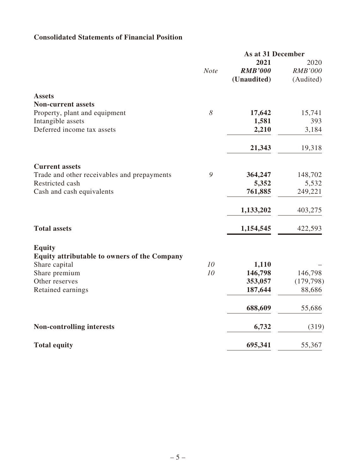# **Consolidated Statements of Financial Position**

|                                                     |             | As at 31 December  |                       |
|-----------------------------------------------------|-------------|--------------------|-----------------------|
|                                                     |             | 2021               | 2020                  |
|                                                     | <b>Note</b> | <b>RMB'000</b>     | <b>RMB'000</b>        |
|                                                     |             | (Unaudited)        | (Audited)             |
| <b>Assets</b>                                       |             |                    |                       |
| <b>Non-current assets</b>                           |             |                    |                       |
| Property, plant and equipment                       | 8           | 17,642             | 15,741                |
| Intangible assets                                   |             | 1,581              | 393                   |
| Deferred income tax assets                          |             | 2,210              | 3,184                 |
|                                                     |             | 21,343             | 19,318                |
| <b>Current assets</b>                               |             |                    |                       |
| Trade and other receivables and prepayments         | 9           | 364,247            | 148,702               |
| Restricted cash                                     |             | 5,352              | 5,532                 |
| Cash and cash equivalents                           |             | 761,885            | 249,221               |
|                                                     |             | 1,133,202          | 403,275               |
| <b>Total assets</b>                                 |             | 1,154,545          | 422,593               |
| <b>Equity</b>                                       |             |                    |                       |
| <b>Equity attributable to owners of the Company</b> |             |                    |                       |
| Share capital                                       | 10<br>10    | 1,110              |                       |
| Share premium<br>Other reserves                     |             | 146,798<br>353,057 | 146,798<br>(179, 798) |
| Retained earnings                                   |             | 187,644            | 88,686                |
|                                                     |             |                    |                       |
|                                                     |             | 688,609            | 55,686                |
| <b>Non-controlling interests</b>                    |             | 6,732              | (319)                 |
| <b>Total equity</b>                                 |             | 695,341            | 55,367                |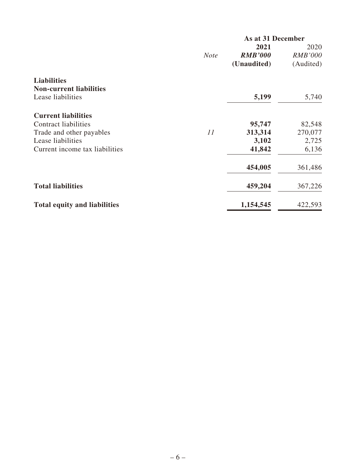|                                     | As at 31 December |                |                |  |
|-------------------------------------|-------------------|----------------|----------------|--|
|                                     |                   | 2021           | 2020           |  |
|                                     | <b>Note</b>       | <b>RMB'000</b> | <b>RMB'000</b> |  |
|                                     |                   | (Unaudited)    | (Audited)      |  |
| <b>Liabilities</b>                  |                   |                |                |  |
| <b>Non-current liabilities</b>      |                   |                |                |  |
| Lease liabilities                   |                   | 5,199          | 5,740          |  |
| <b>Current liabilities</b>          |                   |                |                |  |
| <b>Contract liabilities</b>         |                   | 95,747         | 82,548         |  |
| Trade and other payables            | 11                | 313,314        | 270,077        |  |
| Lease liabilities                   |                   | 3,102          | 2,725          |  |
| Current income tax liabilities      |                   | 41,842         | 6,136          |  |
|                                     |                   | 454,005        | 361,486        |  |
| <b>Total liabilities</b>            |                   | 459,204        | 367,226        |  |
| <b>Total equity and liabilities</b> |                   | 1,154,545      | 422,593        |  |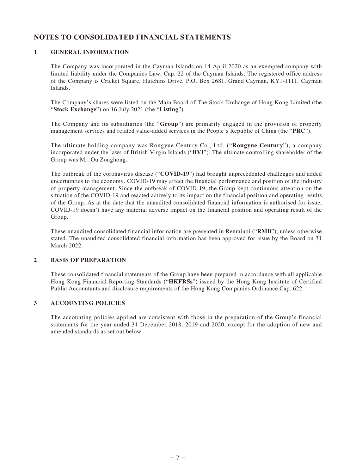### **NOTES TO CONSOLIDATED FINANCIAL STATEMENTS**

#### **1 GENERAL INFORMATION**

The Company was incorporated in the Cayman Islands on 14 April 2020 as an exempted company with limited liability under the Companies Law, Cap. 22 of the Cayman Islands. The registered office address of the Company is Cricket Square, Hutchins Drive, P.O. Box 2681, Grand Cayman, KY1-1111, Cayman Islands.

The Company's shares were listed on the Main Board of The Stock Exchange of Hong Kong Limited (the "**Stock Exchange**") on 16 July 2021 (the "**Listing**").

The Company and its subsidiaries (the "**Group**") are primarily engaged in the provision of property management services and related value-added services in the People's Republic of China (the "**PRC**").

The ultimate holding company was Rongyue Century Co., Ltd. ("**Rongyue Century**"), a company incorporated under the laws of British Virgin Islands ("**BVI**"). The ultimate controlling shareholder of the Group was Mr. Ou Zonghong.

The outbreak of the coronavirus disease ("**COVID-19**") had brought unprecedented challenges and added uncertainties to the economy. COVID-19 may affect the financial performance and position of the industry of property management. Since the outbreak of COVID-19, the Group kept continuous attention on the situation of the COVID-19 and reacted actively to its impact on the financial position and operating results of the Group. As at the date that the unaudited consolidated financial information is authorised for issue, COVID-19 doesn't have any material adverse impact on the financial position and operating result of the Group.

These unaudited consolidated financial information are presented in Renminbi ("**RMB**"), unless otherwise stated. The unaudited consolidated financial information has been approved for issue by the Board on 31 March 2022.

#### **2 BASIS OF PREPARATION**

These consolidated financial statements of the Group have been prepared in accordance with all applicable Hong Kong Financial Reporting Standards ("**HKFRSs**") issued by the Hong Kong Institute of Certified Public Accountants and disclosure requirements of the Hong Kong Companies Ordinance Cap. 622.

#### **3 ACCOUNTING POLICIES**

The accounting policies applied are consistent with those in the preparation of the Group's financial statements for the year ended 31 December 2018, 2019 and 2020, except for the adoption of new and amended standards as set out below.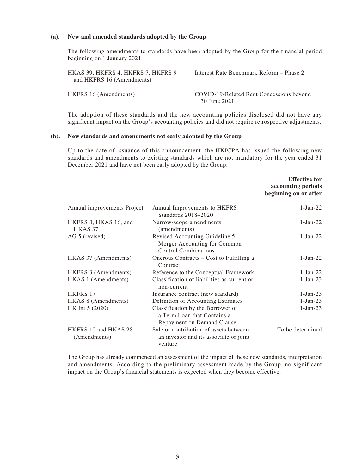#### **(a). New and amended standards adopted by the Group**

The following amendments to standards have been adopted by the Group for the financial period beginning on 1 January 2021:

| HKAS 39, HKFRS 4, HKFRS 7, HKFRS 9<br>and HKFRS 16 (Amendments) | Interest Rate Benchmark Reform – Phase 2                 |
|-----------------------------------------------------------------|----------------------------------------------------------|
| HKFRS 16 (Amendments)                                           | COVID-19-Related Rent Concessions beyond<br>30 June 2021 |

The adoption of these standards and the new accounting policies disclosed did not have any significant impact on the Group's accounting policies and did not require retrospective adjustments.

#### **(b). New standards and amendments not early adopted by the Group**

Up to the date of issuance of this announcement, the HKICPA has issued the following new standards and amendments to existing standards which are not mandatory for the year ended 31 December 2021 and have not been early adopted by the Group:

|                                      |                                                                                                | <b>Effective for</b><br>accounting periods<br>beginning on or after |
|--------------------------------------|------------------------------------------------------------------------------------------------|---------------------------------------------------------------------|
| Annual improvements Project          | Annual Improvements to HKFRS<br>Standards 2018–2020                                            | $1-Jan-22$                                                          |
| HKFRS 3, HKAS 16, and<br>HKAS 37     | Narrow-scope amendments<br>(amendments)                                                        | $1-Jan-22$                                                          |
| AG 5 (revised)                       | Revised Accounting Guideline 5<br>Merger Accounting for Common<br><b>Control Combinations</b>  | $1-Jan-22$                                                          |
| HKAS 37 (Amendments)                 | Onerous Contracts – Cost to Fulfilling a<br>Contract                                           | $1-Jan-22$                                                          |
| HKFRS 3 (Amendments)                 | Reference to the Conceptual Framework                                                          | $1-Jan-22$                                                          |
| HKAS 1 (Amendments)                  | Classification of liabilities as current or<br>non-current                                     | $1-Jan-23$                                                          |
| <b>HKFRS 17</b>                      | Insurance contract (new standard)                                                              | $1-Jan-23$                                                          |
| HKAS 8 (Amendments)                  | Definition of Accounting Estimates                                                             | $1-Jan-23$                                                          |
| HK Int 5 (2020)                      | Classification by the Borrower of<br>a Term Loan that Contains a<br>Repayment on Demand Clause | $1-Jan-23$                                                          |
| HKFRS 10 and HKAS 28<br>(Amendments) | Sale or contribution of assets between<br>an investor and its associate or joint<br>venture    | To be determined                                                    |

The Group has already commenced an assessment of the impact of these new standards, interpretation and amendments. According to the preliminary assessment made by the Group, no significant impact on the Group's financial statements is expected when they become effective.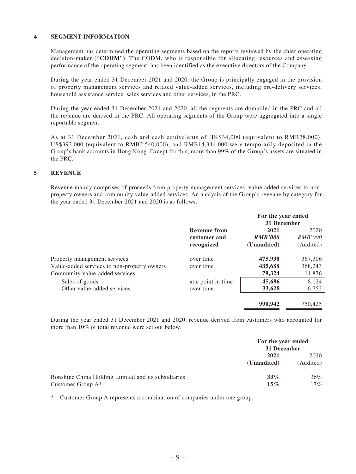#### **4 SEGMENT INFORMATION**

Management has determined the operating segments based on the reports reviewed by the chief operating decision-maker ("**CODM**"). The CODM, who is responsible for allocating resources and assessing performance of the operating segment, has been identified as the executive directors of the Company.

During the year ended 31 December 2021 and 2020, the Group is principally engaged in the provision of property management services and related value-added services, including pre-delivery services, household assistance service, sales services and other services, in the PRC.

During the year ended 31 December 2021 and 2020, all the segments are domiciled in the PRC and all the revenue are derived in the PRC. All operating segments of the Group were aggregated into a single reportable segment.

As at 31 December 2021, cash and cash equivalents of HK\$34,000 (equivalent to RMB28,000), US\$392,000 (equivalent to RMB2,540,000), and RMB14,344,000 were temporarily deposited in the Group's bank accounts in Hong Kong. Except for this, more than 99% of the Group's assets are situated in the PRC.

#### **5 REVENUE**

Revenue mainly comprises of proceeds from property management services, value-added services to nonproperty owners and community value-added services. An analysis of the Group's revenue by category for the year ended 31 December 2021 and 2020 is as follows:

|                                                                                                               |                                                   | For the year ended<br>31 December     |                                     |
|---------------------------------------------------------------------------------------------------------------|---------------------------------------------------|---------------------------------------|-------------------------------------|
|                                                                                                               | <b>Revenue from</b><br>customer and<br>recognized | 2021<br><b>RMB'000</b><br>(Unaudited) | 2020<br><i>RMB'000</i><br>(Audited) |
| Property management services<br>Value-added services to non-property owners<br>Community value-added services | over time<br>over time                            | 475,930<br>435,688<br>79,324          | 367,306<br>368,243<br>14,876        |
| - Sales of goods<br>- Other value-added services                                                              | at a point in time<br>over time                   | 45,696<br>33,628                      | 8.124<br>6,752                      |
|                                                                                                               |                                                   | 990,942                               | 750,425                             |

During the year ended 31 December 2021 and 2020, revenue derived from customers who accounted for more than 10% of total revenue were set out below.

|                                                     | For the year ended<br>31 December |                   |
|-----------------------------------------------------|-----------------------------------|-------------------|
|                                                     | 2021<br>(Unaudited)               | 2020<br>(Audited) |
| Ronshine China Holding Limited and its subsidiaries | $33\%$                            | 36%               |
| Customer Group $A^*$                                | $15\%$                            | 17%               |

\* Customer Group A represents a combination of companies under one group.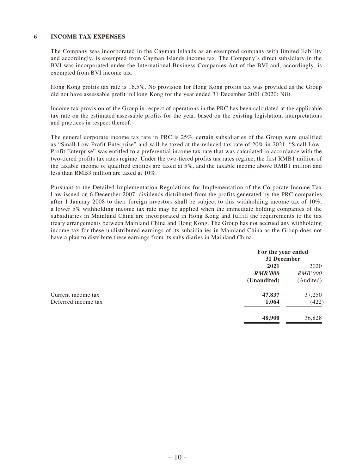#### **6 INCOME TAX EXPENSES**

The Company was incorporated in the Cayman Islands as an exempted company with limited liability and accordingly, is exempted from Cayman Islands income tax. The Company's direct subsidiary in the BVI was incorporated under the International Business Companies Act of the BVI and, accordingly, is exempted from BVI income tax.

Hong Kong profits tax rate is 16.5%. No provision for Hong Kong profits tax was provided as the Group did not have assessable profit in Hong Kong for the year ended 31 December 2021 (2020: Nil).

Income tax provision of the Group in respect of operations in the PRC has been calculated at the applicable tax rate on the estimated assessable profits for the year, based on the existing legislation, interpretations and practices in respect thereof.

The general corporate income tax rate in PRC is 25%, certain subsidiaries of the Group were qualified as "Small Low-Profit Enterprise" and will be taxed at the reduced tax rate of 20% in 2021. "Small Low-Profit Enterprise" was entitled to a preferential income tax rate that was calculated in accordance with the two-tiered profits tax rates regime. Under the two-tiered profits tax rates regime, the first RMB1 million of the taxable income of qualified entities are taxed at 5%, and the taxable income above RMB1 million and less than RMB3 million are taxed at 10%.

Pursuant to the Detailed Implementation Regulations for Implementation of the Corporate Income Tax Law issued on 6 December 2007, dividends distributed from the profits generated by the PRC companies after 1 January 2008 to their foreign investors shall be subject to this withholding income tax of 10%, a lower 5% withholding income tax rate may be applied when the immediate holding companies of the subsidiaries in Mainland China are incorporated in Hong Kong and fulfill the requirements to the tax treaty arrangements between Mainland China and Hong Kong. The Group has not accrued any withholding income tax for these undistributed earnings of its subsidiaries in Mainland China as the Group does not have a plan to distribute these earnings from its subsidiaries in Mainland China.

|                     | For the year ended<br>31 December |                |
|---------------------|-----------------------------------|----------------|
|                     | 2021                              | 2020           |
|                     | <b>RMB'000</b>                    | <i>RMB'000</i> |
|                     | (Unaudited)                       | (Audited)      |
| Current income tax  | 47,837                            | 37,250         |
| Deferred income tax | 1,064                             | (422)          |
|                     | 48,900                            | 36,828         |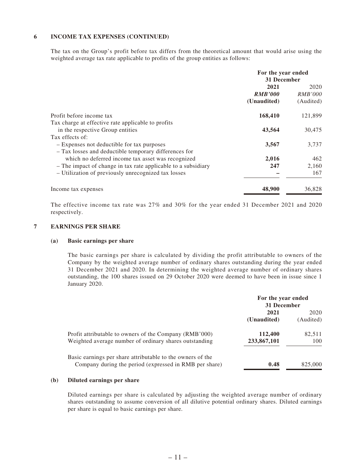#### **6 INCOME TAX EXPENSES (CONTINUED)**

The tax on the Group's profit before tax differs from the theoretical amount that would arise using the weighted average tax rate applicable to profits of the group entities as follows:

|                                                               | For the year ended<br>31 December |                |
|---------------------------------------------------------------|-----------------------------------|----------------|
|                                                               | 2021                              | 2020           |
|                                                               | <b>RMB'000</b>                    | <i>RMB'000</i> |
|                                                               | (Unaudited)                       | (Audited)      |
| Profit before income tax                                      | 168,410                           | 121,899        |
| Tax charge at effective rate applicable to profits            |                                   |                |
| in the respective Group entities                              | 43,564                            | 30,475         |
| Tax effects of:                                               |                                   |                |
| - Expenses not deductible for tax purposes                    | 3,567                             | 3,737          |
| - Tax losses and deductible temporary differences for         |                                   |                |
| which no deferred income tax asset was recognized             | 2,016                             | 462            |
| - The impact of change in tax rate applicable to a subsidiary | 247                               | 2,160          |
| - Utilization of previously unrecognized tax losses           |                                   | 167            |
| Income tax expenses                                           | 48,900                            | 36,828         |

The effective income tax rate was 27% and 30% for the year ended 31 December 2021 and 2020 respectively.

#### **7 EARNINGS PER SHARE**

#### **(a) Basic earnings per share**

The basic earnings per share is calculated by dividing the profit attributable to owners of the Company by the weighted average number of ordinary shares outstanding during the year ended 31 December 2021 and 2020. In determining the weighted average number of ordinary shares outstanding, the 100 shares issued on 29 October 2020 were deemed to have been in issue since 1 January 2020.

|                                                            | For the year ended<br>31 December |           |
|------------------------------------------------------------|-----------------------------------|-----------|
|                                                            | 2021<br>2020                      |           |
|                                                            | (Unaudited)                       | (Audited) |
| Profit attributable to owners of the Company (RMB'000)     | 112,400                           | 82,511    |
| Weighted average number of ordinary shares outstanding     | 233,867,101                       | 100       |
| Basic earnings per share attributable to the owners of the |                                   |           |
| Company during the period (expressed in RMB per share)     | 0.48                              | 825,000   |

#### **(b) Diluted earnings per share**

Diluted earnings per share is calculated by adjusting the weighted average number of ordinary shares outstanding to assume conversion of all dilutive potential ordinary shares. Diluted earnings per share is equal to basic earnings per share.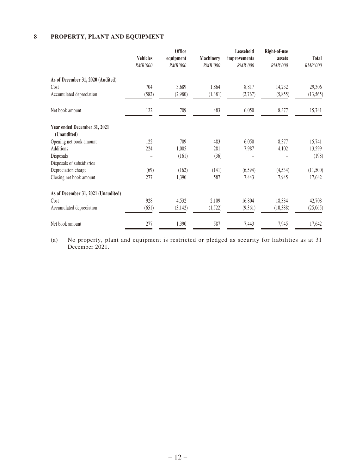### **8 PROPERTY, PLANT AND EQUIPMENT**

|                                             |                 | <b>Office</b> |                  | Leasehold    | Right-of-use |           |
|---------------------------------------------|-----------------|---------------|------------------|--------------|--------------|-----------|
|                                             | <b>Vehicles</b> | equipment     | <b>Machinery</b> | improvements | assets       | Total     |
|                                             | RMB'000         | RMB'000       | RMB'000          | RMB'000      | RMB'000      | RMB'000   |
| As of December 31, 2020 (Audited)           |                 |               |                  |              |              |           |
| Cost                                        | 704             | 3,689         | 1,864            | 8,817        | 14,232       | 29,306    |
| Accumulated depreciation                    | (582)           | (2,980)       | (1, 381)         | (2,767)      | (5,855)      | (13, 565) |
| Net book amount                             | 122             | 709           | 483              | 6,050        | 8,377        | 15,741    |
| Year ended December 31, 2021<br>(Unaudited) |                 |               |                  |              |              |           |
| Opening net book amount                     | 122             | 709           | 483              | 6,050        | 8,377        | 15,741    |
| Additions                                   | 224             | 1,005         | 281              | 7,987        | 4,102        | 13,599    |
| Disposals                                   |                 | (161)         | (36)             |              |              | (198)     |
| Disposals of subsidiaries                   |                 |               |                  |              |              |           |
| Depreciation charge                         | (69)            | (162)         | (141)            | (6, 594)     | (4, 534)     | (11,500)  |
| Closing net book amount                     | 277             | 1,390         | 587              | 7,443        | 7,945        | 17,642    |
| As of December 31, 2021 (Unaudited)         |                 |               |                  |              |              |           |
| Cost                                        | 928             | 4,532         | 2,109            | 16,804       | 18,334       | 42,708    |
| Accumulated depreciation                    | (651)           | (3, 142)      | (1,522)          | (9,361)      | (10, 388)    | (25,065)  |
| Net book amount                             | 277             | 1,390         | 587              | 7,443        | 7,945        | 17,642    |

(a) No property, plant and equipment is restricted or pledged as security for liabilities as at 31 December 2021.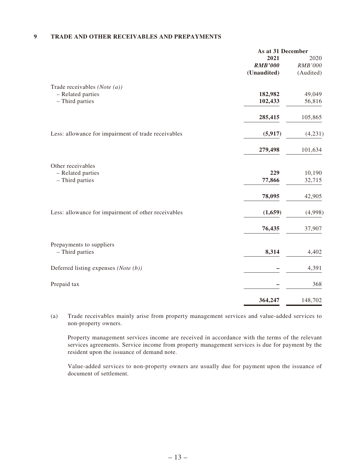#### **9 TRADE AND OTHER RECEIVABLES AND PREPAYMENTS**

|                                                     | As at 31 December |           |
|-----------------------------------------------------|-------------------|-----------|
|                                                     | 2021              | 2020      |
|                                                     | <b>RMB'000</b>    | RMB'000   |
|                                                     | (Unaudited)       | (Audited) |
| Trade receivables (Note $(a)$ )                     |                   |           |
| - Related parties                                   | 182,982           | 49,049    |
| - Third parties                                     | 102,433           | 56,816    |
|                                                     | 285,415           | 105,865   |
| Less: allowance for impairment of trade receivables | (5, 917)          | (4,231)   |
|                                                     | 279,498           | 101,634   |
| Other receivables                                   |                   |           |
| - Related parties                                   | 229               | 10,190    |
| - Third parties                                     | 77,866            | 32,715    |
|                                                     | 78,095            | 42,905    |
| Less: allowance for impairment of other receivables | (1,659)           | (4,998)   |
|                                                     | 76,435            | 37,907    |
| Prepayments to suppliers                            |                   |           |
| - Third parties                                     | 8,314             | 4,402     |
| Deferred listing expenses (Note (b))                |                   | 4,391     |
| Prepaid tax                                         |                   | 368       |
|                                                     | 364,247           | 148,702   |

(a) Trade receivables mainly arise from property management services and value-added services to non-property owners.

Property management services income are received in accordance with the terms of the relevant services agreements. Service income from property management services is due for payment by the resident upon the issuance of demand note.

Value-added services to non-property owners are usually due for payment upon the issuance of document of settlement.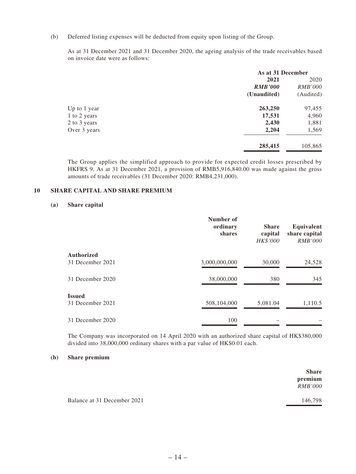(b) Deferred listing expenses will be deducted from equity upon listing of the Group.

As at 31 December 2021 and 31 December 2020, the ageing analysis of the trade receivables based on invoice date were as follows:

| As at 31 December |                |
|-------------------|----------------|
| 2021              | 2020           |
| <b>RMB'000</b>    | <i>RMB'000</i> |
| (Unaudited)       | (Audited)      |
| 263,250           | 97,455         |
| 17,531            | 4,960          |
| 2,430             | 1,881          |
| 2,204             | 1,569          |
| 285,415           | 105,865        |
|                   |                |

The Group applies the simplified approach to provide for expected credit losses prescribed by HKFRS 9. As at 31 December 2021, a provision of RMB5,916,840.00 was made against the gross amounts of trade receivables (31 December 2020: RMB4,231,000).

#### **10 SHARE CAPITAL AND SHARE PREMIUM**

#### **(a) Share capital**

|                   | Number of<br>ordinary<br>shares | <b>Share</b><br>capital<br>HK\$'000 | Equivalent<br>share capital<br><i>RMB'000</i> |
|-------------------|---------------------------------|-------------------------------------|-----------------------------------------------|
| <b>Authorized</b> |                                 |                                     |                                               |
| 31 December 2021  | 3,000,000,000                   | 30,000                              | 24,528                                        |
| 31 December 2020  | 38,000,000                      | 380                                 | 345                                           |
| <b>Issued</b>     |                                 |                                     |                                               |
| 31 December 2021  | 508,104,000                     | 5,081.04                            | 1,110.5                                       |
| 31 December 2020  | 100                             |                                     |                                               |

The Company was incorporated on 14 April 2020 with an authorized share capital of HK\$380,000 divided into 38,000,000 ordinary shares with a par value of HK\$0.01 each.

#### **(b) Share premium**

|                             | <b>Share</b><br>premium<br><i>RMB'000</i> |
|-----------------------------|-------------------------------------------|
| Balance at 31 December 2021 | 146,798                                   |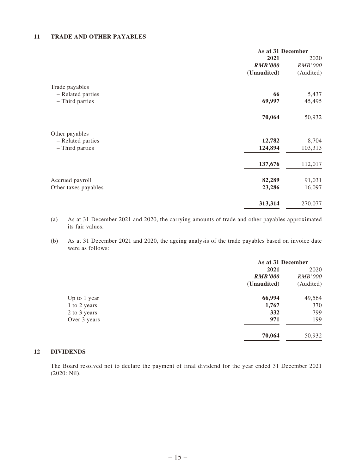#### **11 TRADE AND OTHER PAYABLES**

|                      | As at 31 December |                |
|----------------------|-------------------|----------------|
|                      | 2021              |                |
|                      | <b>RMB'000</b>    | <b>RMB'000</b> |
|                      | (Unaudited)       | (Audited)      |
| Trade payables       |                   |                |
| - Related parties    | 66                | 5,437          |
| - Third parties      | 69,997            | 45,495         |
|                      | 70,064            | 50,932         |
| Other payables       |                   |                |
| - Related parties    | 12,782            | 8,704          |
| - Third parties      | 124,894           | 103,313        |
|                      | 137,676           | 112,017        |
| Accrued payroll      | 82,289            | 91,031         |
| Other taxes payables | 23,286            | 16,097         |
|                      | 313,314           | 270,077        |

(a) As at 31 December 2021 and 2020, the carrying amounts of trade and other payables approximated its fair values.

(b) As at 31 December 2021 and 2020, the ageing analysis of the trade payables based on invoice date were as follows:

|              | As at 31 December |                |
|--------------|-------------------|----------------|
|              | 2021              | 2020           |
|              | <b>RMB'000</b>    | <i>RMB'000</i> |
|              | (Unaudited)       | (Audited)      |
| Up to 1 year | 66,994            | 49,564         |
| 1 to 2 years | 1,767             | 370            |
| 2 to 3 years | 332               | 799            |
| Over 3 years | 971               | 199            |
|              | 70,064            | 50,932         |

#### **12 DIVIDENDS**

The Board resolved not to declare the payment of final dividend for the year ended 31 December 2021 (2020: Nil).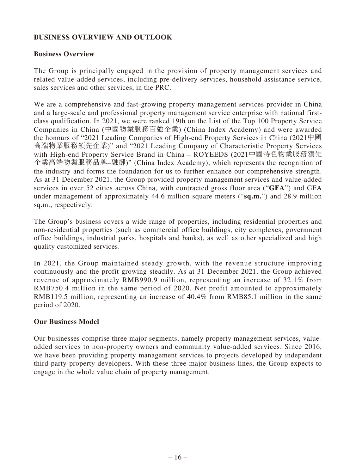# **BUSINESS OVERVIEW AND OUTLOOK**

### **Business Overview**

The Group is principally engaged in the provision of property management services and related value-added services, including pre-delivery services, household assistance service, sales services and other services, in the PRC.

We are a comprehensive and fast-growing property management services provider in China and a large-scale and professional property management service enterprise with national firstclass qualification. In 2021, we were ranked 19th on the List of the Top 100 Property Service Companies in China (中國物業服務百強企業) (China Index Academy) and were awarded the honours of "2021 Leading Companies of High-end Property Services in China (2021中國 高端物業服務領先企業)" and "2021 Leading Company of Characteristic Property Services with High-end Property Service Brand in China – ROYEEDS (2021中國特色物業服務領先 企業高端物業服務品牌–融御)" (China Index Academy), which represents the recognition of the industry and forms the foundation for us to further enhance our comprehensive strength. As at 31 December 2021, the Group provided property management services and value-added services in over 52 cities across China, with contracted gross floor area ("**GFA**") and GFA under management of approximately 44.6 million square meters ("**sq.m.**") and 28.9 million sq.m., respectively.

The Group's business covers a wide range of properties, including residential properties and non-residential properties (such as commercial office buildings, city complexes, government office buildings, industrial parks, hospitals and banks), as well as other specialized and high quality customized services.

In 2021, the Group maintained steady growth, with the revenue structure improving continuously and the profit growing steadily. As at 31 December 2021, the Group achieved revenue of approximately RMB990.9 million, representing an increase of 32.1% from RMB750.4 million in the same period of 2020. Net profit amounted to approximately RMB119.5 million, representing an increase of 40.4% from RMB85.1 million in the same period of 2020.

### **Our Business Model**

Our businesses comprise three major segments, namely property management services, valueadded services to non-property owners and community value-added services. Since 2016, we have been providing property management services to projects developed by independent third-party property developers. With these three major business lines, the Group expects to engage in the whole value chain of property management.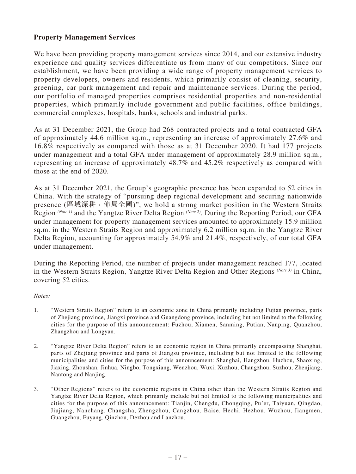# **Property Management Services**

We have been providing property management services since 2014, and our extensive industry experience and quality services differentiate us from many of our competitors. Since our establishment, we have been providing a wide range of property management services to property developers, owners and residents, which primarily consist of cleaning, security, greening, car park management and repair and maintenance services. During the period, our portfolio of managed properties comprises residential properties and non-residential properties, which primarily include government and public facilities, office buildings, commercial complexes, hospitals, banks, schools and industrial parks.

As at 31 December 2021, the Group had 268 contracted projects and a total contracted GFA of approximately 44.6 million sq.m., representing an increase of approximately 27.6% and 16.8% respectively as compared with those as at 31 December 2020. It had 177 projects under management and a total GFA under management of approximately 28.9 million sq.m., representing an increase of approximately 48.7% and 45.2% respectively as compared with those at the end of 2020.

As at 31 December 2021, the Group's geographic presence has been expanded to 52 cities in China. With the strategy of "pursuing deep regional development and securing nationwide presence (區域深耕, 佈局全國)", we hold a strong market position in the Western Straits Region *(Note 1)* and the Yangtze River Delta Region *(Note 2)*. During the Reporting Period, our GFA under management for property management services amounted to approximately 15.9 million sq.m. in the Western Straits Region and approximately 6.2 million sq.m. in the Yangtze River Delta Region, accounting for approximately 54.9% and 21.4%, respectively, of our total GFA under management.

During the Reporting Period, the number of projects under management reached 177, located in the Western Straits Region, Yangtze River Delta Region and Other Regions *(Note 3)* in China, covering 52 cities.

#### *Notes:*

- 1. "Western Straits Region" refers to an economic zone in China primarily including Fujian province, parts of Zhejiang province, Jiangxi province and Guangdong province, including but not limited to the following cities for the purpose of this announcement: Fuzhou, Xiamen, Sanming, Putian, Nanping, Quanzhou, Zhangzhou and Longyan.
- 2. "Yangtze River Delta Region" refers to an economic region in China primarily encompassing Shanghai, parts of Zhejiang province and parts of Jiangsu province, including but not limited to the following municipalities and cities for the purpose of this announcement: Shanghai, Hangzhou, Huzhou, Shaoxing, Jiaxing, Zhoushan, Jinhua, Ningbo, Tongxiang, Wenzhou, Wuxi, Xuzhou, Changzhou, Suzhou, Zhenjiang, Nantong and Nanjing.
- 3. "Other Regions" refers to the economic regions in China other than the Western Straits Region and Yangtze River Delta Region, which primarily include but not limited to the following municipalities and cities for the purpose of this announcement: Tianjin, Chengdu, Chongqing, Pu'er, Taiyuan, Qingdao, Jiujiang, Nanchang, Changsha, Zhengzhou, Cangzhou, Baise, Hechi, Hezhou, Wuzhou, Jiangmen, Guangzhou, Fuyang, Qinzhou, Dezhou and Lanzhou.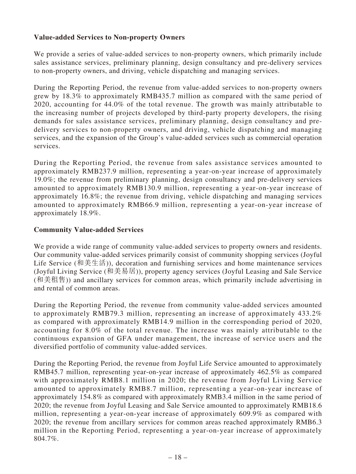# **Value-added Services to Non-property Owners**

We provide a series of value-added services to non-property owners, which primarily include sales assistance services, preliminary planning, design consultancy and pre-delivery services to non-property owners, and driving, vehicle dispatching and managing services.

During the Reporting Period, the revenue from value-added services to non-property owners grew by 18.3% to approximately RMB435.7 million as compared with the same period of 2020, accounting for 44.0% of the total revenue. The growth was mainly attributable to the increasing number of projects developed by third-party property developers, the rising demands for sales assistance services, preliminary planning, design consultancy and predelivery services to non-property owners, and driving, vehicle dispatching and managing services, and the expansion of the Group's value-added services such as commercial operation services.

During the Reporting Period, the revenue from sales assistance services amounted to approximately RMB237.9 million, representing a year-on-year increase of approximately 19.0%; the revenue from preliminary planning, design consultancy and pre-delivery services amounted to approximately RMB130.9 million, representing a year-on-year increase of approximately 16.8%; the revenue from driving, vehicle dispatching and managing services amounted to approximately RMB66.9 million, representing a year-on-year increase of approximately 18.9%.

# **Community Value-added Services**

We provide a wide range of community value-added services to property owners and residents. Our community value-added services primarily consist of community shopping services (Joyful Life Service (和美生活)), decoration and furnishing services and home maintenance services (Joyful Living Service (和美易居)), property agency services (Joyful Leasing and Sale Service (和美租售)) and ancillary services for common areas, which primarily include advertising in and rental of common areas.

During the Reporting Period, the revenue from community value-added services amounted to approximately RMB79.3 million, representing an increase of approximately 433.2% as compared with approximately RMB14.9 million in the corresponding period of 2020, accounting for 8.0% of the total revenue. The increase was mainly attributable to the continuous expansion of GFA under management, the increase of service users and the diversified portfolio of community value-added services.

During the Reporting Period, the revenue from Joyful Life Service amounted to approximately RMB45.7 million, representing year-on-year increase of approximately 462.5% as compared with approximately RMB8.1 million in 2020; the revenue from Joyful Living Service amounted to approximately RMB8.7 million, representing a year-on-year increase of approximately 154.8% as compared with approximately RMB3.4 million in the same period of 2020; the revenue from Joyful Leasing and Sale Service amounted to approximately RMB18.6 million, representing a year-on-year increase of approximately 609.9% as compared with 2020; the revenue from ancillary services for common areas reached approximately RMB6.3 million in the Reporting Period, representing a year-on-year increase of approximately 804.7%.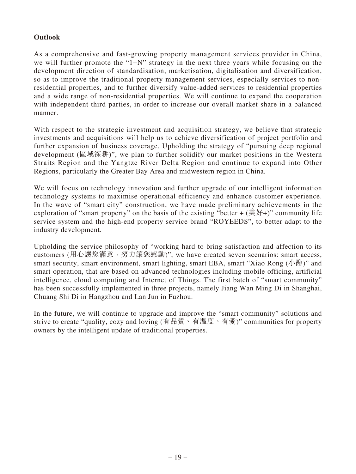# **Outlook**

As a comprehensive and fast-growing property management services provider in China, we will further promote the "1+N" strategy in the next three years while focusing on the development direction of standardisation, marketisation, digitalisation and diversification, so as to improve the traditional property management services, especially services to nonresidential properties, and to further diversify value-added services to residential properties and a wide range of non-residential properties. We will continue to expand the cooperation with independent third parties, in order to increase our overall market share in a balanced manner.

With respect to the strategic investment and acquisition strategy, we believe that strategic investments and acquisitions will help us to achieve diversification of project portfolio and further expansion of business coverage. Upholding the strategy of "pursuing deep regional development (區域深耕)", we plan to further solidify our market positions in the Western Straits Region and the Yangtze River Delta Region and continue to expand into Other Regions, particularly the Greater Bay Area and midwestern region in China.

We will focus on technology innovation and further upgrade of our intelligent information technology systems to maximise operational efficiency and enhance customer experience. In the wave of "smart city" construction, we have made preliminary achievements in the exploration of "smart property" on the basis of the existing "better +  $(\text{\ddot{H}}\text{H})$ " community life service system and the high-end property service brand "ROYEEDS", to better adapt to the industry development.

Upholding the service philosophy of "working hard to bring satisfaction and affection to its customers (用心讓您滿意,努力讓您感動)", we have created seven scenarios: smart access, smart security, smart environment, smart lighting, smart EBA, smart "Xiao Rong ( $\sqrt{\frac{m}{m}}$ )" and smart operation, that are based on advanced technologies including mobile officing, artificial intelligence, cloud computing and Internet of Things. The first batch of "smart community" has been successfully implemented in three projects, namely Jiang Wan Ming Di in Shanghai, Chuang Shi Di in Hangzhou and Lan Jun in Fuzhou.

In the future, we will continue to upgrade and improve the "smart community" solutions and strive to create "quality, cozy and loving (有品質、有溫度、有愛)" communities for property owners by the intelligent update of traditional properties.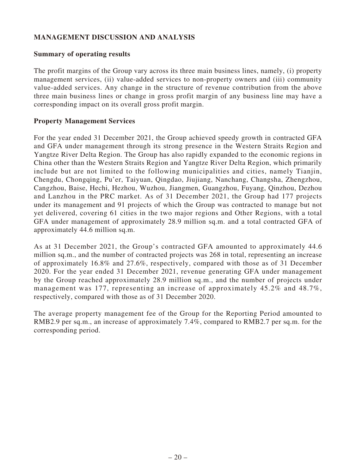# **MANAGEMENT DISCUSSION AND ANALYSIS**

### **Summary of operating results**

The profit margins of the Group vary across its three main business lines, namely, (i) property management services, (ii) value-added services to non-property owners and (iii) community value-added services. Any change in the structure of revenue contribution from the above three main business lines or change in gross profit margin of any business line may have a corresponding impact on its overall gross profit margin.

### **Property Management Services**

For the year ended 31 December 2021, the Group achieved speedy growth in contracted GFA and GFA under management through its strong presence in the Western Straits Region and Yangtze River Delta Region. The Group has also rapidly expanded to the economic regions in China other than the Western Straits Region and Yangtze River Delta Region, which primarily include but are not limited to the following municipalities and cities, namely Tianjin, Chengdu, Chongqing, Pu'er, Taiyuan, Qingdao, Jiujiang, Nanchang, Changsha, Zhengzhou, Cangzhou, Baise, Hechi, Hezhou, Wuzhou, Jiangmen, Guangzhou, Fuyang, Qinzhou, Dezhou and Lanzhou in the PRC market. As of 31 December 2021, the Group had 177 projects under its management and 91 projects of which the Group was contracted to manage but not yet delivered, covering 61 cities in the two major regions and Other Regions, with a total GFA under management of approximately 28.9 million sq.m. and a total contracted GFA of approximately 44.6 million sq.m.

As at 31 December 2021, the Group's contracted GFA amounted to approximately 44.6 million sq.m., and the number of contracted projects was 268 in total, representing an increase of approximately 16.8% and 27.6%, respectively, compared with those as of 31 December 2020. For the year ended 31 December 2021, revenue generating GFA under management by the Group reached approximately 28.9 million sq.m., and the number of projects under management was 177, representing an increase of approximately 45.2% and 48.7%, respectively, compared with those as of 31 December 2020.

The average property management fee of the Group for the Reporting Period amounted to RMB2.9 per sq.m., an increase of approximately 7.4%, compared to RMB2.7 per sq.m. for the corresponding period.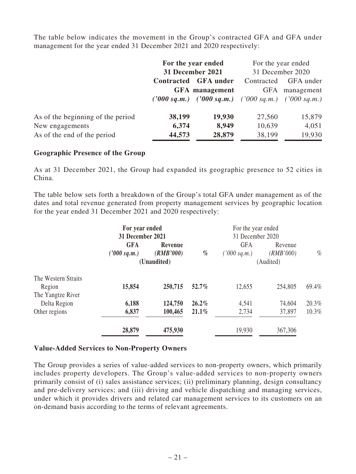The table below indicates the movement in the Group's contracted GFA and GFA under management for the year ended 31 December 2021 and 2020 respectively:

|                                   | For the year ended<br>31 December 2021 |                                                     | For the year ended |                  |
|-----------------------------------|----------------------------------------|-----------------------------------------------------|--------------------|------------------|
|                                   |                                        |                                                     |                    | 31 December 2020 |
|                                   | <b>Contracted</b><br><b>GFA</b> under  |                                                     | Contracted         | GFA under        |
|                                   |                                        | <b>GFA</b> management                               | <b>GFA</b>         | management       |
|                                   |                                        | ('000 sq.m.) ('000 sq.m.) ('000 sq.m.) ('000 sq.m.) |                    |                  |
| As of the beginning of the period | 38,199                                 | 19,930                                              | 27,560             | 15,879           |
| New engagements                   | 6,374                                  | 8,949                                               | 10,639             | 4,051            |
| As of the end of the period       | 44,573                                 | 28,879                                              | 38,199             | 19,930           |

### **Geographic Presence of the Group**

As at 31 December 2021, the Group had expanded its geographic presence to 52 cities in China.

The table below sets forth a breakdown of the Group's total GFA under management as of the dates and total revenue generated from property management services by geographic location for the year ended 31 December 2021 and 2020 respectively:

|                     | For year ended<br>For the year ended |           |           |                  |           |       |
|---------------------|--------------------------------------|-----------|-----------|------------------|-----------|-------|
|                     | 31 December 2021                     |           |           | 31 December 2020 |           |       |
|                     | <b>GFA</b>                           | Revenue   |           | <b>GFA</b>       | Revenue   |       |
|                     | ('000 sq.m.)                         | (RMB'000) | $\%$      | ('000 sq.m.)     | (RMB'000) | $\%$  |
|                     | (Unaudited)                          |           | (Audited) |                  |           |       |
| The Western Straits |                                      |           |           |                  |           |       |
| Region              | 15,854                               | 250,715   | 52.7%     | 12,655           | 254,805   | 69.4% |
| The Yangtze River   |                                      |           |           |                  |           |       |
| Delta Region        | 6,188                                | 124,750   | $26.2\%$  | 4,541            | 74,604    | 20.3% |
| Other regions       | 6,837                                | 100,465   | $21.1\%$  | 2,734            | 37,897    | 10.3% |
|                     | 28,879                               | 475,930   |           | 19,930           | 367,306   |       |

### **Value-Added Services to Non-Property Owners**

The Group provides a series of value-added services to non-property owners, which primarily includes property developers. The Group's value-added services to non-property owners primarily consist of (i) sales assistance services; (ii) preliminary planning, design consultancy and pre-delivery services; and (iii) driving and vehicle dispatching and managing services, under which it provides drivers and related car management services to its customers on an on-demand basis according to the terms of relevant agreements.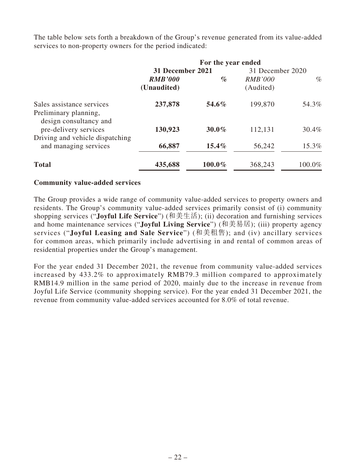The table below sets forth a breakdown of the Group's revenue generated from its value-added services to non-property owners for the period indicated:

|                                                                              |                               | For the year ended |                      |           |
|------------------------------------------------------------------------------|-------------------------------|--------------------|----------------------|-----------|
|                                                                              | 31 December 2021              |                    | 31 December 2020     |           |
|                                                                              | <b>RMB'000</b><br>(Unaudited) | $\%$               | RMB'000<br>(Audited) | $\%$      |
| Sales assistance services<br>Preliminary planning,<br>design consultancy and | 237,878                       | 54.6%              | 199,870              | 54.3%     |
| pre-delivery services<br>Driving and vehicle dispatching                     | 130,923                       | $30.0\%$           | 112,131              | 30.4%     |
| and managing services                                                        | 66,887                        | $15.4\%$           | 56,242               | 15.3%     |
| <b>Total</b>                                                                 | 435,688                       | 100.0%             | 368,243              | $100.0\%$ |

# **Community value-added services**

The Group provides a wide range of community value-added services to property owners and residents. The Group's community value-added services primarily consist of (i) community shopping services ("**Joyful Life Service**") (和美生活); (ii) decoration and furnishing services and home maintenance services ("**Joyful Living Service**") (和美易居); (iii) property agency services ("**Joyful Leasing and Sale Service**") (和美租售); and (iv) ancillary services for common areas, which primarily include advertising in and rental of common areas of residential properties under the Group's management.

For the year ended 31 December 2021, the revenue from community value-added services increased by 433.2% to approximately RMB79.3 million compared to approximately RMB14.9 million in the same period of 2020, mainly due to the increase in revenue from Joyful Life Service (community shopping service). For the year ended 31 December 2021, the revenue from community value-added services accounted for 8.0% of total revenue.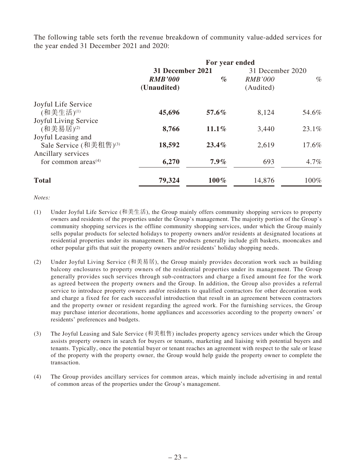The following table sets forth the revenue breakdown of community value-added services for the year ended 31 December 2021 and 2020:

|                                    | For year ended   |          |                  |         |
|------------------------------------|------------------|----------|------------------|---------|
|                                    | 31 December 2021 |          | 31 December 2020 |         |
|                                    | <b>RMB'000</b>   | $\%$     | <b>RMB'000</b>   | $\%$    |
|                                    | (Unaudited)      |          | (Audited)        |         |
| Joyful Life Service                |                  |          |                  |         |
| (和美生活)(1)                          | 45,696           | 57.6%    | 8,124            | 54.6%   |
| Joyful Living Service              |                  |          |                  |         |
| (和美易居)(2)                          | 8,766            | $11.1\%$ | 3,440            | 23.1%   |
| Joyful Leasing and                 |                  |          |                  |         |
| Sale Service (和美租售) <sup>(3)</sup> | 18,592           | $23.4\%$ | 2,619            | 17.6%   |
| Ancillary services                 |                  |          |                  |         |
| for common areas $(4)$             | 6,270            | $7.9\%$  | 693              | $4.7\%$ |
| <b>Total</b>                       | 79,324           | $100\%$  | 14,876           | 100%    |

*Notes:*

- (1) Under Joyful Life Service (和美生活), the Group mainly offers community shopping services to property owners and residents of the properties under the Group's management. The majority portion of the Group's community shopping services is the offline community shopping services, under which the Group mainly sells popular products for selected holidays to property owners and/or residents at designated locations at residential properties under its management. The products generally include gift baskets, mooncakes and other popular gifts that suit the property owners and/or residents' holiday shopping needs.
- (2) Under Joyful Living Service (和美易居), the Group mainly provides decoration work such as building balcony enclosures to property owners of the residential properties under its management. The Group generally provides such services through sub-contractors and charge a fixed amount fee for the work as agreed between the property owners and the Group. In addition, the Group also provides a referral service to introduce property owners and/or residents to qualified contractors for other decoration work and charge a fixed fee for each successful introduction that result in an agreement between contractors and the property owner or resident regarding the agreed work. For the furnishing services, the Group may purchase interior decorations, home appliances and accessories according to the property owners' or residents' preferences and budgets.
- (3) The Joyful Leasing and Sale Service (和美租售) includes property agency services under which the Group assists property owners in search for buyers or tenants, marketing and liaising with potential buyers and tenants. Typically, once the potential buyer or tenant reaches an agreement with respect to the sale or lease of the property with the property owner, the Group would help guide the property owner to complete the transaction.
- (4) The Group provides ancillary services for common areas, which mainly include advertising in and rental of common areas of the properties under the Group's management.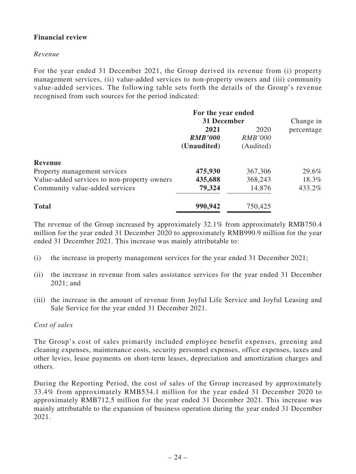# **Financial review**

### *Revenue*

For the year ended 31 December 2021, the Group derived its revenue from (i) property management services, (ii) value-added services to non-property owners and (iii) community value-added services. The following table sets forth the details of the Group's revenue recognised from such sources for the period indicated:

|                                             | For the year ended |                |            |
|---------------------------------------------|--------------------|----------------|------------|
|                                             | 31 December        |                | Change in  |
|                                             | 2021               | 2020           | percentage |
|                                             | <b>RMB'000</b>     | <i>RMB'000</i> |            |
|                                             | (Unaudited)        | (Audited)      |            |
| <b>Revenue</b>                              |                    |                |            |
| Property management services                | 475,930            | 367,306        | 29.6%      |
| Value-added services to non-property owners | 435,688            | 368,243        | 18.3%      |
| Community value-added services              | 79,324             | 14,876         | 433.2%     |
| <b>Total</b>                                | 990,942            | 750,425        |            |

The revenue of the Group increased by approximately 32.1% from approximately RMB750.4 million for the year ended 31 December 2020 to approximately RMB990.9 million for the year ended 31 December 2021. This increase was mainly attributable to:

- (i) the increase in property management services for the year ended 31 December 2021;
- (ii) the increase in revenue from sales assistance services for the year ended 31 December 2021; and
- (iii) the increase in the amount of revenue from Joyful Life Service and Joyful Leasing and Sale Service for the year ended 31 December 2021.

### *Cost of sales*

The Group's cost of sales primarily included employee benefit expenses, greening and cleaning expenses, maintenance costs, security personnel expenses, office expenses, taxes and other levies, lease payments on short-term leases, depreciation and amortization charges and others.

During the Reporting Period, the cost of sales of the Group increased by approximately 33.4% from approximately RMB534.1 million for the year ended 31 December 2020 to approximately RMB712.5 million for the year ended 31 December 2021. This increase was mainly attributable to the expansion of business operation during the year ended 31 December 2021.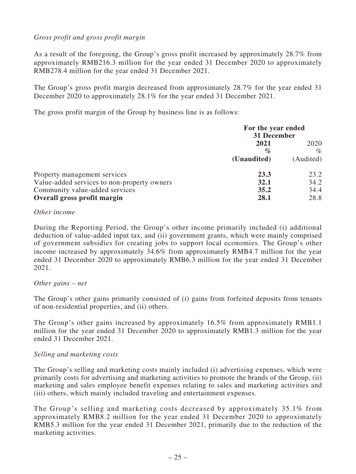# *Gross profit and gross profit margin*

As a result of the foregoing, the Group's gross profit increased by approximately 28.7% from approximately RMB216.3 million for the year ended 31 December 2020 to approximately RMB278.4 million for the year ended 31 December 2021.

The Group's gross profit margin decreased from approximately 28.7% for the year ended 31 December 2020 to approximately 28.1% for the year ended 31 December 2021.

The gross profit margin of the Group by business line is as follows:

|                                             | For the year ended<br>31 December |           |
|---------------------------------------------|-----------------------------------|-----------|
|                                             | 2021                              |           |
|                                             | $\%$                              |           |
|                                             | (Unaudited)                       | (Audited) |
| Property management services                | 23.3                              | 23.2      |
| Value-added services to non-property owners | 34.2<br>32.1                      |           |
| Community value-added services              | 35.2                              | 34.4      |
| Overall gross profit margin                 |                                   | 28.8      |

#### *Other income*

During the Reporting Period, the Group's other income primarily included (i) additional deduction of value-added input tax, and (ii) government grants, which were mainly comprised of government subsidies for creating jobs to support local economies. The Group's other income increased by approximately 34.6% from approximately RMB4.7 million for the year ended 31 December 2020 to approximately RMB6.3 million for the year ended 31 December 2021.

### *Other gains – net*

The Group's other gains primarily consisted of (i) gains from forfeited deposits from tenants of non-residential properties, and (ii) others.

The Group's other gains increased by approximately 16.5% from approximately RMB1.1 million for the year ended 31 December 2020 to approximately RMB1.3 million for the year ended 31 December 2021.

### *Selling and marketing costs*

The Group's selling and marketing costs mainly included (i) advertising expenses, which were primarily costs for advertising and marketing activities to promote the brands of the Group, (ii) marketing and sales employee benefit expenses relating to sales and marketing activities and (iii) others, which mainly included traveling and entertainment expenses.

The Group's selling and marketing costs decreased by approximately 35.1% from approximately RMB8.2 million for the year ended 31 December 2020 to approximately RMB5.3 million for the year ended 31 December 2021, primarily due to the reduction of the marketing activities.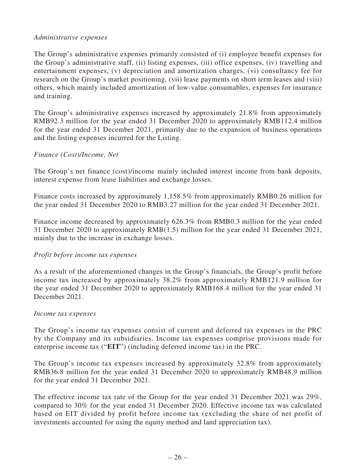### *Administrative expenses*

The Group's administrative expenses primarily consisted of (i) employee benefit expenses for the Group's administrative staff, (ii) listing expenses, (iii) office expenses, (iv) travelling and entertainment expenses, (v) depreciation and amortization charges, (vi) consultancy fee for research on the Group's market positioning, (vii) lease payments on short term leases and (viii) others, which mainly included amortization of low-value consumables, expenses for insurance and training.

The Group's administrative expenses increased by approximately 21.8% from approximately RMB92.3 million for the year ended 31 December 2020 to approximately RMB112.4 million for the year ended 31 December 2021, primarily due to the expansion of business operations and the listing expenses incurred for the Listing.

# *Finance (Cost)/Income, Net*

The Group's net finance (cost)/income mainly included interest income from bank deposits, interest expense from lease liabilities and exchange losses.

Finance costs increased by approximately 1,158.5% from approximately RMB0.26 million for the year ended 31 December 2020 to RMB3.27 million for the year ended 31 December 2021.

Finance income decreased by approximately 626.3% from RMB0.3 million for the year ended 31 December 2020 to approximately RMB(1.5) million for the year ended 31 December 2021, mainly due to the increase in exchange losses.

### *Profit before income tax expenses*

As a result of the aforementioned changes in the Group's financials, the Group's profit before income tax increased by approximately 38.2% from approximately RMB121.9 million for the year ended 31 December 2020 to approximately RMB168.4 million for the year ended 31 December 2021.

### *Income tax expenses*

The Group's income tax expenses consist of current and deferred tax expenses in the PRC by the Company and its subsidiaries. Income tax expenses comprise provisions made for enterprise income tax ("**EIT**") (including deferred income tax) in the PRC.

The Group's income tax expenses increased by approximately 32.8% from approximately RMB36.8 million for the year ended 31 December 2020 to approximately RMB48.9 million for the year ended 31 December 2021.

The effective income tax rate of the Group for the year ended 31 December 2021 was 29%, compared to 30% for the year ended 31 December 2020. Effective income tax was calculated based on EIT divided by profit before income tax (excluding the share of net profit of investments accounted for using the equity method and land appreciation tax).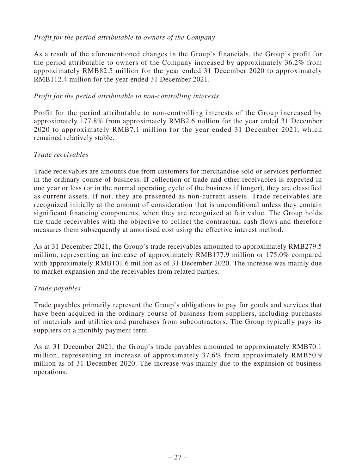# *Profit for the period attributable to owners of the Company*

As a result of the aforementioned changes in the Group's financials, the Group's profit for the period attributable to owners of the Company increased by approximately 36.2% from approximately RMB82.5 million for the year ended 31 December 2020 to approximately RMB112.4 million for the year ended 31 December 2021.

### *Profit for the period attributable to non-controlling interests*

Profit for the period attributable to non-controlling interests of the Group increased by approximately 177.8% from approximately RMB2.6 million for the year ended 31 December 2020 to approximately RMB7.1 million for the year ended 31 December 2021, which remained relatively stable.

# *Trade receivables*

Trade receivables are amounts due from customers for merchandise sold or services performed in the ordinary course of business. If collection of trade and other receivables is expected in one year or less (or in the normal operating cycle of the business if longer), they are classified as current assets. If not, they are presented as non-current assets. Trade receivables are recognized initially at the amount of consideration that is unconditional unless they contain significant financing components, when they are recognized at fair value. The Group holds the trade receivables with the objective to collect the contractual cash flows and therefore measures them subsequently at amortised cost using the effective interest method.

As at 31 December 2021, the Group's trade receivables amounted to approximately RMB279.5 million, representing an increase of approximately RMB177.9 million or 175.0% compared with approximately RMB101.6 million as of 31 December 2020. The increase was mainly due to market expansion and the receivables from related parties.

# *Trade payables*

Trade payables primarily represent the Group's obligations to pay for goods and services that have been acquired in the ordinary course of business from suppliers, including purchases of materials and utilities and purchases from subcontractors. The Group typically pays its suppliers on a monthly payment term.

As at 31 December 2021, the Group's trade payables amounted to approximately RMB70.1 million, representing an increase of approximately 37.6% from approximately RMB50.9 million as of 31 December 2020. The increase was mainly due to the expansion of business operations.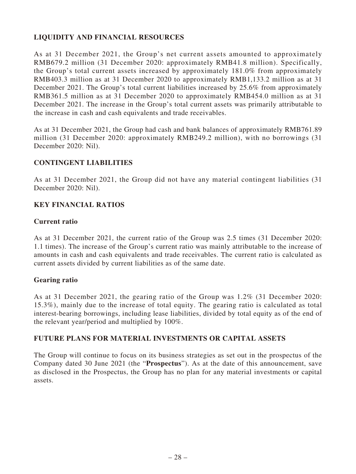# **LIQUIDITY AND FINANCIAL RESOURCES**

As at 31 December 2021, the Group's net current assets amounted to approximately RMB679.2 million (31 December 2020: approximately RMB41.8 million). Specifically, the Group's total current assets increased by approximately 181.0% from approximately RMB403.3 million as at 31 December 2020 to approximately RMB1,133.2 million as at 31 December 2021. The Group's total current liabilities increased by 25.6% from approximately RMB361.5 million as at 31 December 2020 to approximately RMB454.0 million as at 31 December 2021. The increase in the Group's total current assets was primarily attributable to the increase in cash and cash equivalents and trade receivables.

As at 31 December 2021, the Group had cash and bank balances of approximately RMB761.89 million (31 December 2020: approximately RMB249.2 million), with no borrowings (31 December 2020: Nil).

# **CONTINGENT LIABILITIES**

As at 31 December 2021, the Group did not have any material contingent liabilities (31 December 2020: Nil).

# **KEY FINANCIAL RATIOS**

### **Current ratio**

As at 31 December 2021, the current ratio of the Group was 2.5 times (31 December 2020: 1.1 times). The increase of the Group's current ratio was mainly attributable to the increase of amounts in cash and cash equivalents and trade receivables. The current ratio is calculated as current assets divided by current liabilities as of the same date.

# **Gearing ratio**

As at 31 December 2021, the gearing ratio of the Group was 1.2% (31 December 2020: 15.3%), mainly due to the increase of total equity. The gearing ratio is calculated as total interest-bearing borrowings, including lease liabilities, divided by total equity as of the end of the relevant year/period and multiplied by 100%.

### **FUTURE PLANS FOR MATERIAL INVESTMENTS OR CAPITAL ASSETS**

The Group will continue to focus on its business strategies as set out in the prospectus of the Company dated 30 June 2021 (the "**Prospectus**"). As at the date of this announcement, save as disclosed in the Prospectus, the Group has no plan for any material investments or capital assets.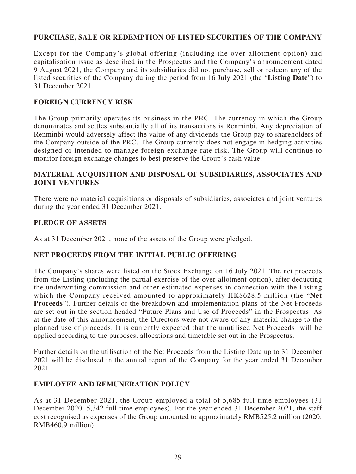# **PURCHASE, SALE OR REDEMPTION OF LISTED SECURITIES OF THE COMPANY**

Except for the Company's global offering (including the over-allotment option) and capitalisation issue as described in the Prospectus and the Company's announcement dated 9 August 2021, the Company and its subsidiaries did not purchase, sell or redeem any of the listed securities of the Company during the period from 16 July 2021 (the "**Listing Date**") to 31 December 2021.

#### **FOREIGN CURRENCY RISK**

The Group primarily operates its business in the PRC. The currency in which the Group denominates and settles substantially all of its transactions is Renminbi. Any depreciation of Renminbi would adversely affect the value of any dividends the Group pay to shareholders of the Company outside of the PRC. The Group currently does not engage in hedging activities designed or intended to manage foreign exchange rate risk. The Group will continue to monitor foreign exchange changes to best preserve the Group's cash value.

### **MATERIAL ACQUISITION AND DISPOSAL OF SUBSIDIARIES, ASSOCIATES AND JOINT VENTURES**

There were no material acquisitions or disposals of subsidiaries, associates and joint ventures during the year ended 31 December 2021.

### **PLEDGE OF ASSETS**

As at 31 December 2021, none of the assets of the Group were pledged.

### **NET PROCEEDS FROM THE INITIAL PUBLIC OFFERING**

The Company's shares were listed on the Stock Exchange on 16 July 2021. The net proceeds from the Listing (including the partial exercise of the over-allotment option), after deducting the underwriting commission and other estimated expenses in connection with the Listing which the Company received amounted to approximately HK\$628.5 million (the "**Net Proceeds**"). Further details of the breakdown and implementation plans of the Net Proceeds are set out in the section headed "Future Plans and Use of Proceeds" in the Prospectus. As at the date of this announcement, the Directors were not aware of any material change to the planned use of proceeds. It is currently expected that the unutilised Net Proceeds will be applied according to the purposes, allocations and timetable set out in the Prospectus.

Further details on the utilisation of the Net Proceeds from the Listing Date up to 31 December 2021 will be disclosed in the annual report of the Company for the year ended 31 December 2021.

### **EMPLOYEE AND REMUNERATION POLICY**

As at 31 December 2021, the Group employed a total of 5,685 full-time employees (31 December 2020: 5,342 full-time employees). For the year ended 31 December 2021, the staff cost recognised as expenses of the Group amounted to approximately RMB525.2 million (2020: RMB460.9 million).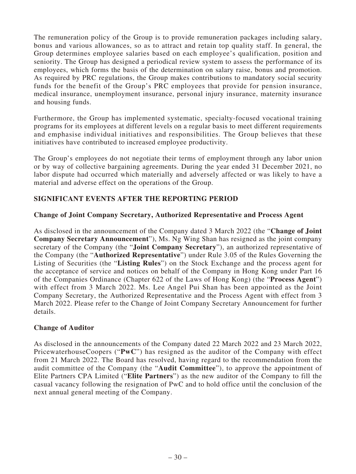The remuneration policy of the Group is to provide remuneration packages including salary, bonus and various allowances, so as to attract and retain top quality staff. In general, the Group determines employee salaries based on each employee's qualification, position and seniority. The Group has designed a periodical review system to assess the performance of its employees, which forms the basis of the determination on salary raise, bonus and promotion. As required by PRC regulations, the Group makes contributions to mandatory social security funds for the benefit of the Group's PRC employees that provide for pension insurance, medical insurance, unemployment insurance, personal injury insurance, maternity insurance and housing funds.

Furthermore, the Group has implemented systematic, specialty-focused vocational training programs for its employees at different levels on a regular basis to meet different requirements and emphasise individual initiatives and responsibilities. The Group believes that these initiatives have contributed to increased employee productivity.

The Group's employees do not negotiate their terms of employment through any labor union or by way of collective bargaining agreements. During the year ended 31 December 2021, no labor dispute had occurred which materially and adversely affected or was likely to have a material and adverse effect on the operations of the Group.

# **SIGNIFICANT EVENTS AFTER THE REPORTING PERIOD**

### **Change of Joint Company Secretary, Authorized Representative and Process Agent**

As disclosed in the announcement of the Company dated 3 March 2022 (the "**Change of Joint Company Secretary Announcement**"), Ms. Ng Wing Shan has resigned as the joint company secretary of the Company (the "**Joint Company Secretary**"), an authorized representative of the Company (the "**Authorized Representative**") under Rule 3.05 of the Rules Governing the Listing of Securities (the "**Listing Rules**") on the Stock Exchange and the process agent for the acceptance of service and notices on behalf of the Company in Hong Kong under Part 16 of the Companies Ordinance (Chapter 622 of the Laws of Hong Kong) (the "**Process Agent**") with effect from 3 March 2022. Ms. Lee Angel Pui Shan has been appointed as the Joint Company Secretary, the Authorized Representative and the Process Agent with effect from 3 March 2022. Please refer to the Change of Joint Company Secretary Announcement for further details.

### **Change of Auditor**

As disclosed in the announcements of the Company dated 22 March 2022 and 23 March 2022, PricewaterhouseCoopers ("**PwC**") has resigned as the auditor of the Company with effect from 21 March 2022. The Board has resolved, having regard to the recommendation from the audit committee of the Company (the "**Audit Committee**"), to approve the appointment of Elite Partners CPA Limited ("**Elite Partners**") as the new auditor of the Company to fill the casual vacancy following the resignation of PwC and to hold office until the conclusion of the next annual general meeting of the Company.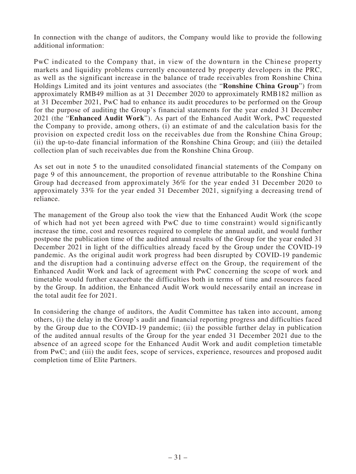In connection with the change of auditors, the Company would like to provide the following additional information:

PwC indicated to the Company that, in view of the downturn in the Chinese property markets and liquidity problems currently encountered by property developers in the PRC, as well as the significant increase in the balance of trade receivables from Ronshine China Holdings Limited and its joint ventures and associates (the "**Ronshine China Group**") from approximately RMB49 million as at 31 December 2020 to approximately RMB182 million as at 31 December 2021, PwC had to enhance its audit procedures to be performed on the Group for the purpose of auditing the Group's financial statements for the year ended 31 December 2021 (the "**Enhanced Audit Work**"). As part of the Enhanced Audit Work, PwC requested the Company to provide, among others, (i) an estimate of and the calculation basis for the provision on expected credit loss on the receivables due from the Ronshine China Group; (ii) the up-to-date financial information of the Ronshine China Group; and (iii) the detailed collection plan of such receivables due from the Ronshine China Group.

As set out in note 5 to the unaudited consolidated financial statements of the Company on page 9 of this announcement, the proportion of revenue attributable to the Ronshine China Group had decreased from approximately 36% for the year ended 31 December 2020 to approximately 33% for the year ended 31 December 2021, signifying a decreasing trend of reliance.

The management of the Group also took the view that the Enhanced Audit Work (the scope of which had not yet been agreed with PwC due to time constraint) would significantly increase the time, cost and resources required to complete the annual audit, and would further postpone the publication time of the audited annual results of the Group for the year ended 31 December 2021 in light of the difficulties already faced by the Group under the COVID-19 pandemic. As the original audit work progress had been disrupted by COVID-19 pandemic and the disruption had a continuing adverse effect on the Group, the requirement of the Enhanced Audit Work and lack of agreement with PwC concerning the scope of work and timetable would further exacerbate the difficulties both in terms of time and resources faced by the Group. In addition, the Enhanced Audit Work would necessarily entail an increase in the total audit fee for 2021.

In considering the change of auditors, the Audit Committee has taken into account, among others, (i) the delay in the Group's audit and financial reporting progress and difficulties faced by the Group due to the COVID-19 pandemic; (ii) the possible further delay in publication of the audited annual results of the Group for the year ended 31 December 2021 due to the absence of an agreed scope for the Enhanced Audit Work and audit completion timetable from PwC; and (iii) the audit fees, scope of services, experience, resources and proposed audit completion time of Elite Partners.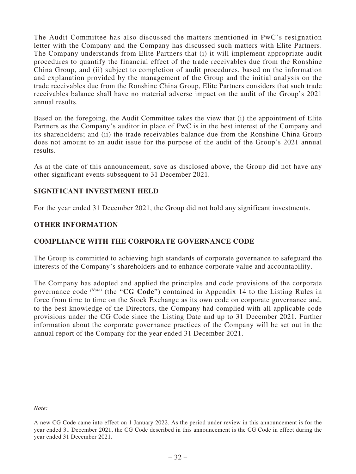The Audit Committee has also discussed the matters mentioned in PwC's resignation letter with the Company and the Company has discussed such matters with Elite Partners. The Company understands from Elite Partners that (i) it will implement appropriate audit procedures to quantify the financial effect of the trade receivables due from the Ronshine China Group, and (ii) subject to completion of audit procedures, based on the information and explanation provided by the management of the Group and the initial analysis on the trade receivables due from the Ronshine China Group, Elite Partners considers that such trade receivables balance shall have no material adverse impact on the audit of the Group's 2021 annual results.

Based on the foregoing, the Audit Committee takes the view that (i) the appointment of Elite Partners as the Company's auditor in place of PwC is in the best interest of the Company and its shareholders; and (ii) the trade receivables balance due from the Ronshine China Group does not amount to an audit issue for the purpose of the audit of the Group's 2021 annual results.

As at the date of this announcement, save as disclosed above, the Group did not have any other significant events subsequent to 31 December 2021.

### **SIGNIFICANT INVESTMENT HELD**

For the year ended 31 December 2021, the Group did not hold any significant investments.

### **OTHER INFORMATION**

### **COMPLIANCE WITH THE CORPORATE GOVERNANCE CODE**

The Group is committed to achieving high standards of corporate governance to safeguard the interests of the Company's shareholders and to enhance corporate value and accountability.

The Company has adopted and applied the principles and code provisions of the corporate governance code *(Note)* (the "**CG Code**") contained in Appendix 14 to the Listing Rules in force from time to time on the Stock Exchange as its own code on corporate governance and, to the best knowledge of the Directors, the Company had complied with all applicable code provisions under the CG Code since the Listing Date and up to 31 December 2021. Further information about the corporate governance practices of the Company will be set out in the annual report of the Company for the year ended 31 December 2021.

*Note:* 

A new CG Code came into effect on 1 January 2022. As the period under review in this announcement is for the year ended 31 December 2021, the CG Code described in this announcement is the CG Code in effect during the year ended 31 December 2021.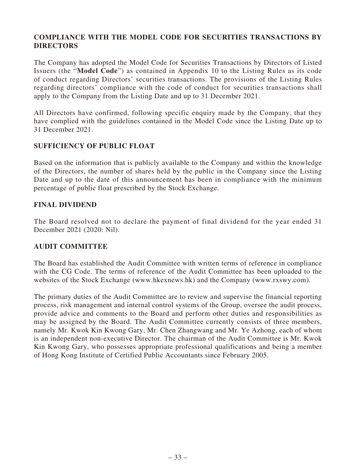# **COMPLIANCE WITH THE MODEL CODE FOR SECURITIES TRANSACTIONS BY DIRECTORS**

The Company has adopted the Model Code for Securities Transactions by Directors of Listed Issuers (the "**Model Code**") as contained in Appendix 10 to the Listing Rules as its code of conduct regarding Directors' securities transactions. The provisions of the Listing Rules regarding directors' compliance with the code of conduct for securities transactions shall apply to the Company from the Listing Date and up to 31 December 2021.

All Directors have confirmed, following specific enquiry made by the Company, that they have complied with the guidelines contained in the Model Code since the Listing Date up to 31 December 2021.

# **SUFFICIENCY OF PUBLIC FLOAT**

Based on the information that is publicly available to the Company and within the knowledge of the Directors, the number of shares held by the public in the Company since the Listing Date and up to the date of this announcement has been in compliance with the minimum percentage of public float prescribed by the Stock Exchange.

# **FINAL DIVIDEND**

The Board resolved not to declare the payment of final dividend for the year ended 31 December 2021 (2020: Nil).

# **AUDIT COMMITTEE**

The Board has established the Audit Committee with written terms of reference in compliance with the CG Code. The terms of reference of the Audit Committee has been uploaded to the websites of the Stock Exchange (www.hkexnews.hk) and the Company (www.rxswy.com).

The primary duties of the Audit Committee are to review and supervise the financial reporting process, risk management and internal control systems of the Group, oversee the audit process, provide advice and comments to the Board and perform other duties and responsibilities as may be assigned by the Board. The Audit Committee currently consists of three members, namely Mr. Kwok Kin Kwong Gary, Mr. Chen Zhangwang and Mr. Ye Azhong, each of whom is an independent non-executive Director. The chairman of the Audit Committee is Mr. Kwok Kin Kwong Gary, who possesses appropriate professional qualifications and being a member of Hong Kong Institute of Certified Public Accountants since February 2005.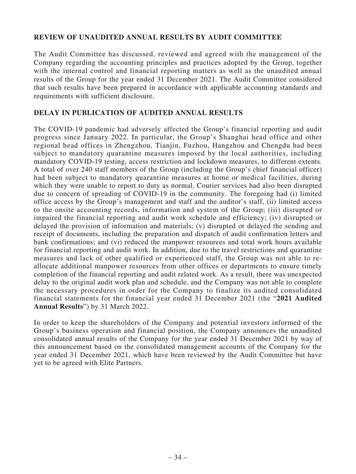# **REVIEW OF UNAUDITED ANNUAL RESULTS BY AUDIT COMMITTEE**

The Audit Committee has discussed, reviewed and agreed with the management of the Company regarding the accounting principles and practices adopted by the Group, together with the internal control and financial reporting matters as well as the unaudited annual results of the Group for the year ended 31 December 2021. The Audit Committee considered that such results have been prepared in accordance with applicable accounting standards and requirements with sufficient disclosure.

# **DELAY IN PUBLICATION OF AUDITED ANNUAL RESULTS**

The COVID-19 pandemic had adversely affected the Group's financial reporting and audit progress since January 2022. In particular, the Group's Shanghai head office and other regional head offices in Zhengzhou, Tianjin, Fuzhou, Hangzhou and Chengdu had been subject to mandatory quarantine measures imposed by the local authorities, including mandatory COVID-19 testing, access restriction and lockdown measures, to different extents. A total of over 240 staff members of the Group (including the Group's chief financial officer) had been subject to mandatory quarantine measures at home or medical facilities, during which they were unable to report to duty as normal. Courier services had also been disrupted due to concern of spreading of COVID-19 in the community. The foregoing had (i) limited office access by the Group's management and staff and the auditor's staff, (ii) limited access to the onsite accounting records, information and system of the Group; (iii) disrupted or impaired the financial reporting and audit work schedule and efficiency; (iv) disrupted or delayed the provision of information and materials; (v) disrupted or delayed the sending and receipt of documents, including the preparation and dispatch of audit confirmation letters and bank confirmations; and (vi) reduced the manpower resources and total work hours available for financial reporting and audit work. In addition, due to the travel restrictions and quarantine measures and lack of other qualified or experienced staff, the Group was not able to reallocate additional manpower resources from other offices or departments to ensure timely completion of the financial reporting and audit related work. As a result, there was unexpected delay to the original audit work plan and schedule, and the Company was not able to complete the necessary procedures in order for the Company to finalize its audited consolidated financial statements for the financial year ended 31 December 2021 (the "**2021 Audited Annual Results**") by 31 March 2022.

In order to keep the shareholders of the Company and potential investors informed of the Group's business operation and financial position, the Company announces the unaudited consolidated annual results of the Company for the year ended 31 December 2021 by way of this announcement based on the consolidated management accounts of the Company for the year ended 31 December 2021, which have been reviewed by the Audit Committee but have yet to be agreed with Elite Partners.